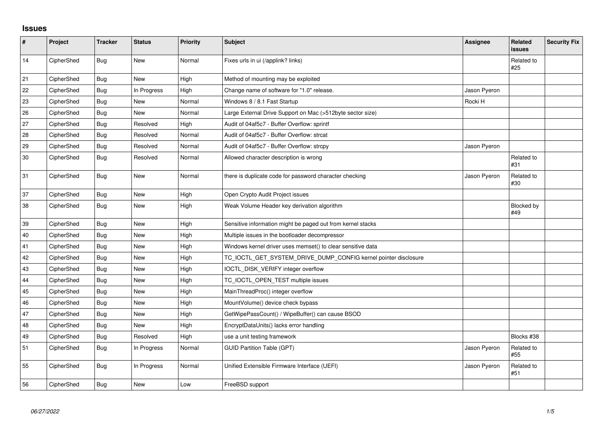## **Issues**

| $\sharp$ | Project    | <b>Tracker</b> | <b>Status</b> | <b>Priority</b> | Subject                                                         | <b>Assignee</b> | <b>Related</b><br><b>issues</b> | <b>Security Fix</b> |
|----------|------------|----------------|---------------|-----------------|-----------------------------------------------------------------|-----------------|---------------------------------|---------------------|
| 14       | CipherShed | <b>Bug</b>     | <b>New</b>    | Normal          | Fixes urls in ui (/applink? links)                              |                 | Related to<br>#25               |                     |
| 21       | CipherShed | Bug            | <b>New</b>    | High            | Method of mounting may be exploited                             |                 |                                 |                     |
| 22       | CipherShed | Bug            | In Progress   | High            | Change name of software for "1.0" release.                      | Jason Pyeron    |                                 |                     |
| 23       | CipherShed | Bug            | New           | Normal          | Windows 8 / 8.1 Fast Startup                                    | Rocki H         |                                 |                     |
| 26       | CipherShed | <b>Bug</b>     | New           | Normal          | Large External Drive Support on Mac (>512byte sector size)      |                 |                                 |                     |
| 27       | CipherShed | Bug            | Resolved      | High            | Audit of 04af5c7 - Buffer Overflow: sprintf                     |                 |                                 |                     |
| 28       | CipherShed | Bug            | Resolved      | Normal          | Audit of 04af5c7 - Buffer Overflow: strcat                      |                 |                                 |                     |
| 29       | CipherShed | Bug            | Resolved      | Normal          | Audit of 04af5c7 - Buffer Overflow: strcpy                      | Jason Pyeron    |                                 |                     |
| 30       | CipherShed | Bug            | Resolved      | Normal          | Allowed character description is wrong                          |                 | Related to<br>#31               |                     |
| 31       | CipherShed | <b>Bug</b>     | <b>New</b>    | Normal          | there is duplicate code for password character checking         | Jason Pyeron    | Related to<br>#30               |                     |
| 37       | CipherShed | <b>Bug</b>     | <b>New</b>    | High            | Open Crypto Audit Project issues                                |                 |                                 |                     |
| 38       | CipherShed | <b>Bug</b>     | New           | High            | Weak Volume Header key derivation algorithm                     |                 | Blocked by<br>#49               |                     |
| 39       | CipherShed | <b>Bug</b>     | New           | High            | Sensitive information might be paged out from kernel stacks     |                 |                                 |                     |
| 40       | CipherShed | Bug            | <b>New</b>    | High            | Multiple issues in the bootloader decompressor                  |                 |                                 |                     |
| 41       | CipherShed | Bug            | New           | High            | Windows kernel driver uses memset() to clear sensitive data     |                 |                                 |                     |
| 42       | CipherShed | <b>Bug</b>     | New           | High            | TC_IOCTL_GET_SYSTEM_DRIVE_DUMP_CONFIG kernel pointer disclosure |                 |                                 |                     |
| 43       | CipherShed | Bug            | <b>New</b>    | High            | IOCTL_DISK_VERIFY integer overflow                              |                 |                                 |                     |
| 44       | CipherShed | <b>Bug</b>     | <b>New</b>    | High            | TC_IOCTL_OPEN_TEST multiple issues                              |                 |                                 |                     |
| 45       | CipherShed | Bug            | <b>New</b>    | High            | MainThreadProc() integer overflow                               |                 |                                 |                     |
| 46       | CipherShed | Bug            | <b>New</b>    | High            | MountVolume() device check bypass                               |                 |                                 |                     |
| 47       | CipherShed | Bug            | New           | High            | GetWipePassCount() / WipeBuffer() can cause BSOD                |                 |                                 |                     |
| 48       | CipherShed | Bug            | <b>New</b>    | High            | EncryptDataUnits() lacks error handling                         |                 |                                 |                     |
| 49       | CipherShed | <b>Bug</b>     | Resolved      | High            | use a unit testing framework                                    |                 | Blocks #38                      |                     |
| 51       | CipherShed | Bug            | In Progress   | Normal          | <b>GUID Partition Table (GPT)</b>                               | Jason Pyeron    | Related to<br>#55               |                     |
| 55       | CipherShed | <b>Bug</b>     | In Progress   | Normal          | Unified Extensible Firmware Interface (UEFI)                    | Jason Pyeron    | Related to<br>#51               |                     |
| 56       | CipherShed | Bug            | New           | Low             | FreeBSD support                                                 |                 |                                 |                     |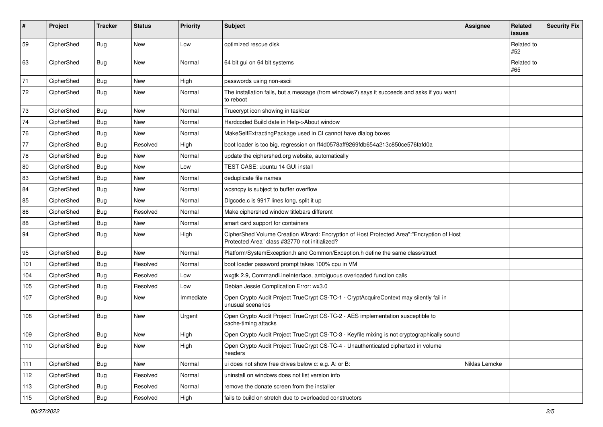| #             | Project    | <b>Tracker</b> | <b>Status</b> | Priority  | <b>Subject</b>                                                                                                                             | <b>Assignee</b> | <b>Related</b><br>issues | <b>Security Fix</b> |
|---------------|------------|----------------|---------------|-----------|--------------------------------------------------------------------------------------------------------------------------------------------|-----------------|--------------------------|---------------------|
| 59            | CipherShed | Bug            | <b>New</b>    | Low       | optimized rescue disk                                                                                                                      |                 | Related to<br>#52        |                     |
| 63            | CipherShed | Bug            | New           | Normal    | 64 bit qui on 64 bit systems                                                                                                               |                 | Related to<br>#65        |                     |
| 71            | CipherShed | <b>Bug</b>     | <b>New</b>    | High      | passwords using non-ascii                                                                                                                  |                 |                          |                     |
| 72            | CipherShed | Bug            | New           | Normal    | The installation fails, but a message (from windows?) says it succeeds and asks if you want<br>to reboot                                   |                 |                          |                     |
| 73            | CipherShed | <b>Bug</b>     | <b>New</b>    | Normal    | Truecrypt icon showing in taskbar                                                                                                          |                 |                          |                     |
| 74            | CipherShed | <b>Bug</b>     | <b>New</b>    | Normal    | Hardcoded Build date in Help->About window                                                                                                 |                 |                          |                     |
| 76            | CipherShed | <b>Bug</b>     | <b>New</b>    | Normal    | MakeSelfExtractingPackage used in CI cannot have dialog boxes                                                                              |                 |                          |                     |
| 77            | CipherShed | Bug            | Resolved      | High      | boot loader is too big, regression on ff4d0578aff9269fdb654a213c850ce576fafd0a                                                             |                 |                          |                     |
| 78            | CipherShed | <b>Bug</b>     | <b>New</b>    | Normal    | update the ciphershed org website, automatically                                                                                           |                 |                          |                     |
| 80            | CipherShed | <b>Bug</b>     | <b>New</b>    | Low       | TEST CASE: ubuntu 14 GUI install                                                                                                           |                 |                          |                     |
| 83            | CipherShed | <b>Bug</b>     | <b>New</b>    | Normal    | deduplicate file names                                                                                                                     |                 |                          |                     |
| 84            | CipherShed | <b>Bug</b>     | New           | Normal    | wcsncpy is subject to buffer overflow                                                                                                      |                 |                          |                     |
| 85            | CipherShed | Bug            | New           | Normal    | Digcode.c is 9917 lines long, split it up                                                                                                  |                 |                          |                     |
| 86            | CipherShed | <b>Bug</b>     | Resolved      | Normal    | Make ciphershed window titlebars different                                                                                                 |                 |                          |                     |
| 88            | CipherShed | <b>Bug</b>     | New           | Normal    | smart card support for containers                                                                                                          |                 |                          |                     |
| 94            | CipherShed | <b>Bug</b>     | New           | High      | CipherShed Volume Creation Wizard: Encryption of Host Protected Area":"Encryption of Host<br>Protected Area" class #32770 not initialized? |                 |                          |                     |
| 95            | CipherShed | Bug            | New           | Normal    | Platform/SystemException.h and Common/Exception.h define the same class/struct                                                             |                 |                          |                     |
| 101           | CipherShed | <b>Bug</b>     | Resolved      | Normal    | boot loader password prompt takes 100% cpu in VM                                                                                           |                 |                          |                     |
| 104           | CipherShed | <b>Bug</b>     | Resolved      | Low       | wxgtk 2.9, CommandLineInterface, ambiguous overloaded function calls                                                                       |                 |                          |                     |
| 105           | CipherShed | Bug            | Resolved      | Low       | Debian Jessie Complication Error: wx3.0                                                                                                    |                 |                          |                     |
| 107           | CipherShed | <b>Bug</b>     | New           | Immediate | Open Crypto Audit Project TrueCrypt CS-TC-1 - CryptAcquireContext may silently fail in<br>unusual scenarios                                |                 |                          |                     |
| 108           | CipherShed | Bug            | New           | Urgent    | Open Crypto Audit Project TrueCrypt CS-TC-2 - AES implementation susceptible to<br>cache-timing attacks                                    |                 |                          |                     |
| 109           | CipherShed | Bug            | New           | High      | Open Crypto Audit Project TrueCrypt CS-TC-3 - Keyfile mixing is not cryptographically sound                                                |                 |                          |                     |
| $ 110\rangle$ | CipherShed | Bug            | New           | High      | Open Crypto Audit Project TrueCrypt CS-TC-4 - Unauthenticated ciphertext in volume<br>headers                                              |                 |                          |                     |
| 111           | CipherShed | <b>Bug</b>     | New           | Normal    | ui does not show free drives below c: e.g. A: or B:                                                                                        | Niklas Lemcke   |                          |                     |
| 112           | CipherShed | Bug            | Resolved      | Normal    | uninstall on windows does not list version info                                                                                            |                 |                          |                     |
| 113           | CipherShed | Bug            | Resolved      | Normal    | remove the donate screen from the installer                                                                                                |                 |                          |                     |
| 115           | CipherShed | <b>Bug</b>     | Resolved      | High      | fails to build on stretch due to overloaded constructors                                                                                   |                 |                          |                     |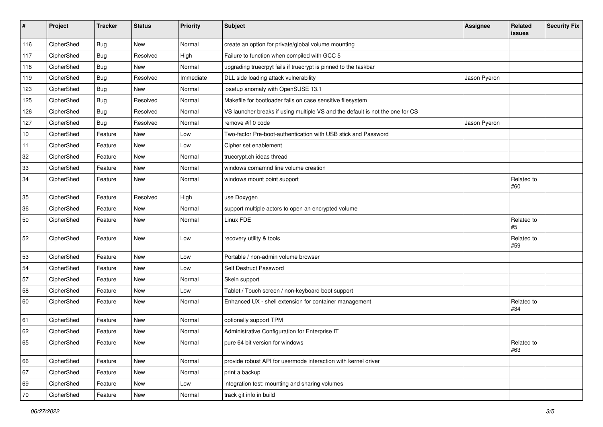| #   | Project    | <b>Tracker</b> | <b>Status</b> | Priority  | Subject                                                                       | <b>Assignee</b> | Related<br><b>issues</b> | <b>Security Fix</b> |
|-----|------------|----------------|---------------|-----------|-------------------------------------------------------------------------------|-----------------|--------------------------|---------------------|
| 116 | CipherShed | <b>Bug</b>     | <b>New</b>    | Normal    | create an option for private/global volume mounting                           |                 |                          |                     |
| 117 | CipherShed | <b>Bug</b>     | Resolved      | High      | Failure to function when compiled with GCC 5                                  |                 |                          |                     |
| 118 | CipherShed | Bug            | New           | Normal    | upgrading truecrpyt fails if truecrypt is pinned to the taskbar               |                 |                          |                     |
| 119 | CipherShed | <b>Bug</b>     | Resolved      | Immediate | DLL side loading attack vulnerability                                         | Jason Pyeron    |                          |                     |
| 123 | CipherShed | <b>Bug</b>     | New           | Normal    | losetup anomaly with OpenSUSE 13.1                                            |                 |                          |                     |
| 125 | CipherShed | <b>Bug</b>     | Resolved      | Normal    | Makefile for bootloader fails on case sensitive filesystem                    |                 |                          |                     |
| 126 | CipherShed | <b>Bug</b>     | Resolved      | Normal    | VS launcher breaks if using multiple VS and the default is not the one for CS |                 |                          |                     |
| 127 | CipherShed | Bug            | Resolved      | Normal    | remove #if 0 code                                                             | Jason Pyeron    |                          |                     |
| 10  | CipherShed | Feature        | <b>New</b>    | Low       | Two-factor Pre-boot-authentication with USB stick and Password                |                 |                          |                     |
| 11  | CipherShed | Feature        | New           | Low       | Cipher set enablement                                                         |                 |                          |                     |
| 32  | CipherShed | Feature        | <b>New</b>    | Normal    | truecrypt.ch ideas thread                                                     |                 |                          |                     |
| 33  | CipherShed | Feature        | New           | Normal    | windows comamnd line volume creation                                          |                 |                          |                     |
| 34  | CipherShed | Feature        | New           | Normal    | windows mount point support                                                   |                 | Related to<br>#60        |                     |
| 35  | CipherShed | Feature        | Resolved      | High      | use Doxygen                                                                   |                 |                          |                     |
| 36  | CipherShed | Feature        | New           | Normal    | support multiple actors to open an encrypted volume                           |                 |                          |                     |
| 50  | CipherShed | Feature        | New           | Normal    | Linux FDE                                                                     |                 | Related to<br>#5         |                     |
| 52  | CipherShed | Feature        | <b>New</b>    | Low       | recovery utility & tools                                                      |                 | Related to<br>#59        |                     |
| 53  | CipherShed | Feature        | <b>New</b>    | Low       | Portable / non-admin volume browser                                           |                 |                          |                     |
| 54  | CipherShed | Feature        | New           | Low       | Self Destruct Password                                                        |                 |                          |                     |
| 57  | CipherShed | Feature        | New           | Normal    | Skein support                                                                 |                 |                          |                     |
| 58  | CipherShed | Feature        | New           | Low       | Tablet / Touch screen / non-keyboard boot support                             |                 |                          |                     |
| 60  | CipherShed | Feature        | New           | Normal    | Enhanced UX - shell extension for container management                        |                 | Related to<br>#34        |                     |
| 61  | CipherShed | Feature        | New           | Normal    | optionally support TPM                                                        |                 |                          |                     |
| 62  | CipherShed | Feature        | New           | Normal    | Administrative Configuration for Enterprise IT                                |                 |                          |                     |
| 65  | CipherShed | Feature        | New           | Normal    | pure 64 bit version for windows                                               |                 | Related to<br>#63        |                     |
| 66  | CipherShed | Feature        | New           | Normal    | provide robust API for usermode interaction with kernel driver                |                 |                          |                     |
| 67  | CipherShed | Feature        | New           | Normal    | print a backup                                                                |                 |                          |                     |
| 69  | CipherShed | Feature        | New           | Low       | integration test: mounting and sharing volumes                                |                 |                          |                     |
| 70  | CipherShed | Feature        | New           | Normal    | track git info in build                                                       |                 |                          |                     |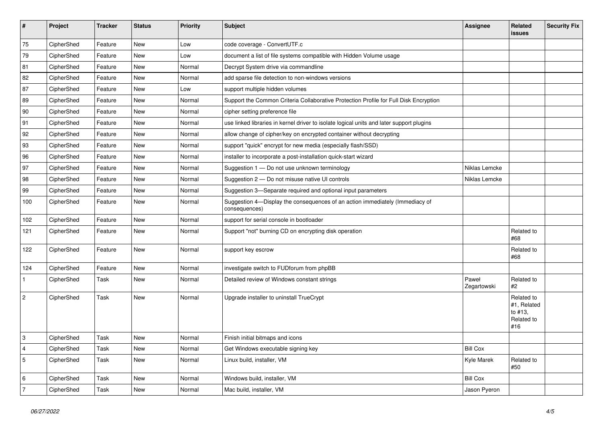| $\vert$ #      | Project    | <b>Tracker</b> | <b>Status</b> | Priority | <b>Subject</b>                                                                                | Assignee             | Related<br><b>issues</b>                                  | <b>Security Fix</b> |
|----------------|------------|----------------|---------------|----------|-----------------------------------------------------------------------------------------------|----------------------|-----------------------------------------------------------|---------------------|
| 75             | CipherShed | Feature        | <b>New</b>    | Low      | code coverage - ConvertUTF.c                                                                  |                      |                                                           |                     |
| 79             | CipherShed | Feature        | <b>New</b>    | Low      | document a list of file systems compatible with Hidden Volume usage                           |                      |                                                           |                     |
| 81             | CipherShed | Feature        | New           | Normal   | Decrypt System drive via commandline                                                          |                      |                                                           |                     |
| 82             | CipherShed | Feature        | <b>New</b>    | Normal   | add sparse file detection to non-windows versions                                             |                      |                                                           |                     |
| 87             | CipherShed | Feature        | <b>New</b>    | Low      | support multiple hidden volumes                                                               |                      |                                                           |                     |
| 89             | CipherShed | Feature        | <b>New</b>    | Normal   | Support the Common Criteria Collaborative Protection Profile for Full Disk Encryption         |                      |                                                           |                     |
| 90             | CipherShed | Feature        | New           | Normal   | cipher setting preference file                                                                |                      |                                                           |                     |
| 91             | CipherShed | Feature        | <b>New</b>    | Normal   | use linked libraries in kernel driver to isolate logical units and later support plugins      |                      |                                                           |                     |
| 92             | CipherShed | Feature        | <b>New</b>    | Normal   | allow change of cipher/key on encrypted container without decrypting                          |                      |                                                           |                     |
| 93             | CipherShed | Feature        | New           | Normal   | support "quick" encrypt for new media (especially flash/SSD)                                  |                      |                                                           |                     |
| 96             | CipherShed | Feature        | <b>New</b>    | Normal   | installer to incorporate a post-installation quick-start wizard                               |                      |                                                           |                     |
| 97             | CipherShed | Feature        | <b>New</b>    | Normal   | Suggestion 1 - Do not use unknown terminology                                                 | Niklas Lemcke        |                                                           |                     |
| 98             | CipherShed | Feature        | <b>New</b>    | Normal   | Suggestion 2 - Do not misuse native UI controls                                               | Niklas Lemcke        |                                                           |                     |
| 99             | CipherShed | Feature        | <b>New</b>    | Normal   | Suggestion 3-Separate required and optional input parameters                                  |                      |                                                           |                     |
| 100            | CipherShed | Feature        | New           | Normal   | Suggestion 4-Display the consequences of an action immediately (Immediacy of<br>consequences) |                      |                                                           |                     |
| 102            | CipherShed | Feature        | <b>New</b>    | Normal   | support for serial console in bootloader                                                      |                      |                                                           |                     |
| 121            | CipherShed | Feature        | <b>New</b>    | Normal   | Support "not" burning CD on encrypting disk operation                                         |                      | Related to<br>#68                                         |                     |
| 122            | CipherShed | Feature        | New           | Normal   | support key escrow                                                                            |                      | Related to<br>#68                                         |                     |
| 124            | CipherShed | Feature        | <b>New</b>    | Normal   | investigate switch to FUDforum from phpBB                                                     |                      |                                                           |                     |
| $\mathbf{1}$   | CipherShed | Task           | <b>New</b>    | Normal   | Detailed review of Windows constant strings                                                   | Paweł<br>Zegartowski | Related to<br>#2                                          |                     |
| $\overline{2}$ | CipherShed | Task           | <b>New</b>    | Normal   | Upgrade installer to uninstall TrueCrypt                                                      |                      | Related to<br>#1, Related<br>to #13.<br>Related to<br>#16 |                     |
| 3              | CipherShed | Task           | <b>New</b>    | Normal   | Finish initial bitmaps and icons                                                              |                      |                                                           |                     |
| $\overline{4}$ | CipherShed | Task           | <b>New</b>    | Normal   | Get Windows executable signing key                                                            | <b>Bill Cox</b>      |                                                           |                     |
| $\sqrt{5}$     | CipherShed | Task           | New           | Normal   | Linux build, installer, VM                                                                    | Kyle Marek           | Related to<br>#50                                         |                     |
| 6              | CipherShed | Task           | <b>New</b>    | Normal   | Windows build, installer, VM                                                                  | <b>Bill Cox</b>      |                                                           |                     |
| 7              | CipherShed | Task           | <b>New</b>    | Normal   | Mac build, installer, VM                                                                      | Jason Pyeron         |                                                           |                     |